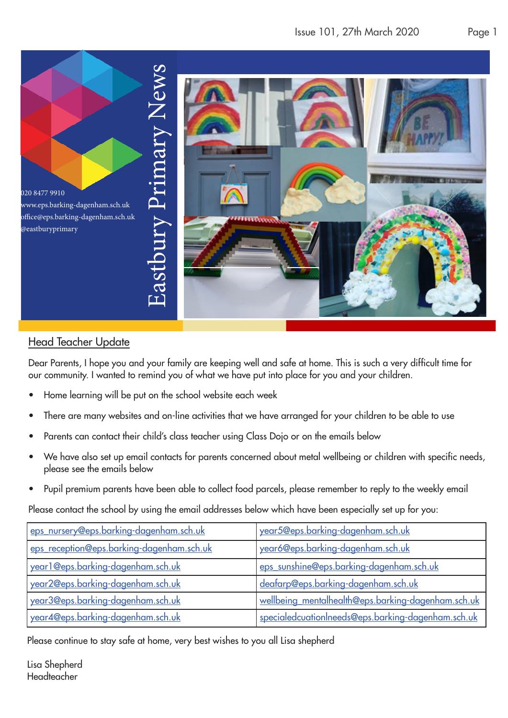

## Head Teacher Update

Dear Parents, I hope you and your family are keeping well and safe at home. This is such a very difficult time for our community. I wanted to remind you of what we have put into place for you and your children.

- Home learning will be put on the school website each week
- There are many websites and on-line activities that we have arranged for your children to be able to use
- Parents can contact their child's class teacher using Class Dojo or on the emails below
- We have also set up email contacts for parents concerned about metal wellbeing or children with specific needs, please see the emails below
- Pupil premium parents have been able to collect food parcels, please remember to reply to the weekly email

Please contact the school by using the email addresses below which have been especially set up for you:

| eps_nursery@eps.barking-dagenham.sch.uk   | year5@eps.barking-dagenham.sch.uk                         |
|-------------------------------------------|-----------------------------------------------------------|
| eps_reception@eps.barking-dagenham.sch.uk | year6@eps.barking-dagenham.sch.uk                         |
| year1@eps.barking-dagenham.sch.uk         | eps_sunshine@eps.barking-dagenham.sch.uk                  |
| year2@eps.barking-dagenham.sch.uk         | deafarp@eps.barking-dagenham.sch.uk                       |
| year3@eps.barking-dagenham.sch.uk         | <u>wellbeing mentalhealth@eps.barking-dagenham.sch.uk</u> |
| year4@eps.barking-dagenham.sch.uk         | specialedcuationIneeds@eps.barking-dagenham.sch.uk        |

Please continue to stay safe at home, very best wishes to you all Lisa shepherd

Lisa Shepherd Headteacher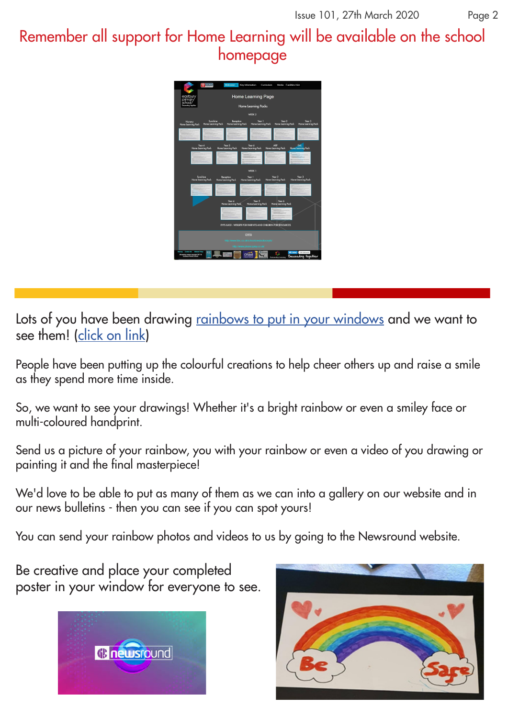Remember all support for Home Learning will be available on the school homepage



Lots of you have been drawing rainbows to put in your windows and we want to see them! (click on link)

People have been putting up the colourful creations to help cheer others up and raise a smile as they spend more time inside.

So, we want to see your drawings! Whether it's a bright rainbow or even a smiley face or multi-coloured handprint.

Send us a picture of your rainbow, you with your rainbow or even a video of you drawing or painting it and the final masterpiece!

We'd love to be able to put as many of them as we can into a gallery on our website and in our news bulletins - then you can see if you can spot yours!

You can send your rainbow photos and videos to us by going to the Newsround website.

Be creative and place your completed poster in your window for everyone to see.